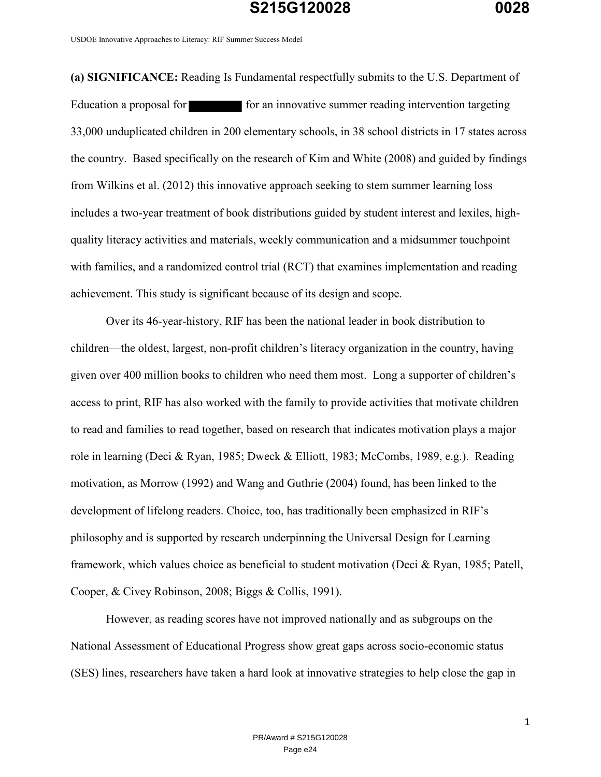USDOE Innovative Approaches to Literacy: RIF Summer Success Model

**(a) SIGNIFICANCE:** Reading Is Fundamental respectfully submits to the U.S. Department of Education a proposal for form for an innovative summer reading intervention targeting 33,000 unduplicated children in 200 elementary schools, in 38 school districts in 17 states across the country. Based specifically on the research of Kim and White (2008) and guided by findings from Wilkins et al. (2012) this innovative approach seeking to stem summer learning loss includes a two-year treatment of book distributions guided by student interest and lexiles, highquality literacy activities and materials, weekly communication and a midsummer touchpoint with families, and a randomized control trial (RCT) that examines implementation and reading achievement. This study is significant because of its design and scope.

Over its 46-year-history, RIF has been the national leader in book distribution to children—the oldest, largest, non-profit children's literacy organization in the country, having given over 400 million books to children who need them most. Long a supporter of children's access to print, RIF has also worked with the family to provide activities that motivate children to read and families to read together, based on research that indicates motivation plays a major role in learning (Deci & Ryan, 1985; Dweck & Elliott, 1983; McCombs, 1989, e.g.). Reading motivation, as Morrow (1992) and Wang and Guthrie (2004) found, has been linked to the development of lifelong readers. Choice, too, has traditionally been emphasized in RIF's philosophy and is supported by research underpinning the Universal Design for Learning framework, which values choice as beneficial to student motivation (Deci & Ryan, 1985; Patell, Cooper, & Civey Robinson, 2008; Biggs & Collis, 1991).

However, as reading scores have not improved nationally and as subgroups on the National Assessment of Educational Progress show great gaps across socio-economic status (SES) lines, researchers have taken a hard look at innovative strategies to help close the gap in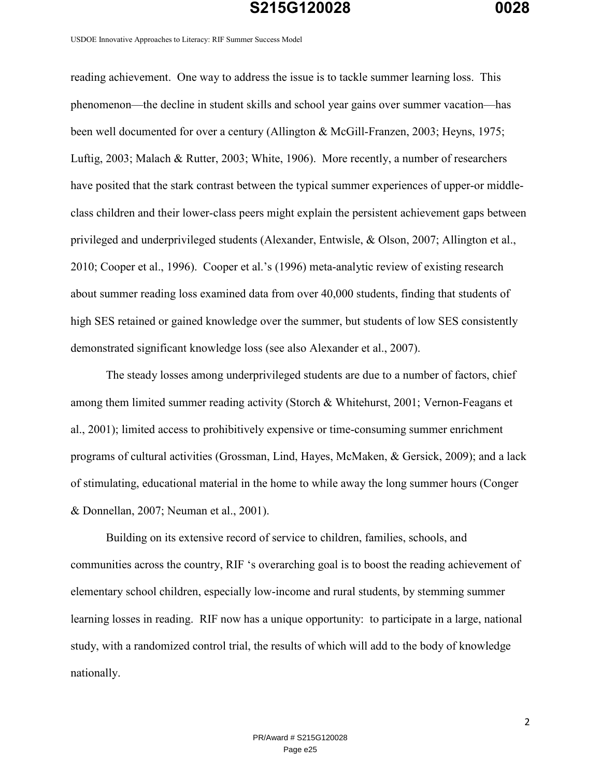USDOE Innovative Approaches to Literacy: RIF Summer Success Model

reading achievement. One way to address the issue is to tackle summer learning loss. This phenomenon—the decline in student skills and school year gains over summer vacation—has been well documented for over a century (Allington & McGill-Franzen, 2003; Heyns, 1975; Luftig, 2003; Malach & Rutter, 2003; White, 1906). More recently, a number of researchers have posited that the stark contrast between the typical summer experiences of upper-or middleclass children and their lower-class peers might explain the persistent achievement gaps between privileged and underprivileged students (Alexander, Entwisle, & Olson, 2007; Allington et al., 2010; Cooper et al., 1996). Cooper et al.'s (1996) meta-analytic review of existing research about summer reading loss examined data from over 40,000 students, finding that students of high SES retained or gained knowledge over the summer, but students of low SES consistently demonstrated significant knowledge loss (see also Alexander et al., 2007).

The steady losses among underprivileged students are due to a number of factors, chief among them limited summer reading activity (Storch & Whitehurst, 2001; Vernon-Feagans et al., 2001); limited access to prohibitively expensive or time-consuming summer enrichment programs of cultural activities (Grossman, Lind, Hayes, McMaken, & Gersick, 2009); and a lack of stimulating, educational material in the home to while away the long summer hours (Conger & Donnellan, 2007; Neuman et al., 2001).

Building on its extensive record of service to children, families, schools, and communities across the country, RIF 's overarching goal is to boost the reading achievement of elementary school children, especially low-income and rural students, by stemming summer learning losses in reading. RIF now has a unique opportunity: to participate in a large, national study, with a randomized control trial, the results of which will add to the body of knowledge nationally.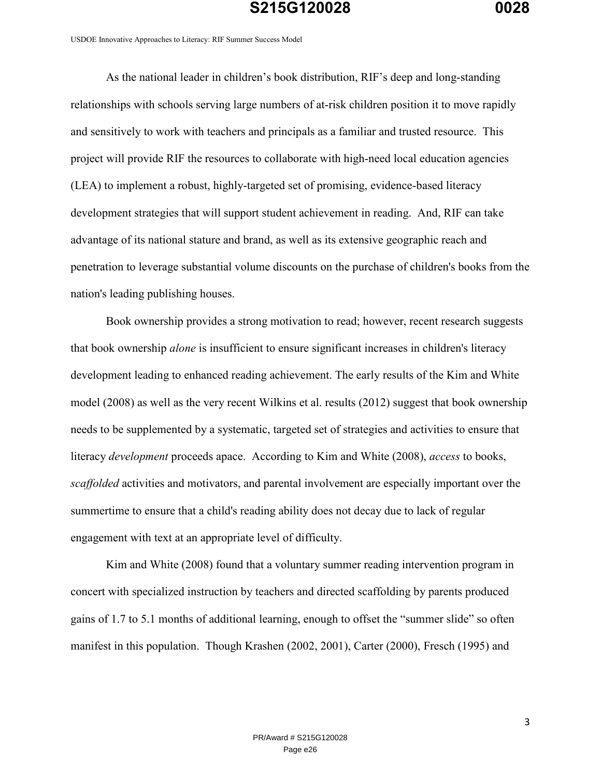USDOE Innovative Approaches to Literacy: RIF Summer Success Model

As the national leader in children's book distribution, RIF's deep and long-standing relationships with schools serving large numbers of at-risk children position it to move rapidly and sensitively to work with teachers and principals as a familiar and trusted resource. This project will provide RIF the resources to collaborate with high-need local education agencies (LEA) to implement a robust, highly-targeted set of promising, evidence-based literacy development strategies that will support student achievement in reading. And, RIF can take advantage of its national stature and brand, as well as its extensive geographic reach and penetration to leverage substantial volume discounts on the purchase of children's books from the nation's leading publishing houses.

Book ownership provides a strong motivation to read; however, recent research suggests that book ownership *alone* is insufficient to ensure significant increases in children's literacy development leading to enhanced reading achievement. The early results of the Kim and White model (2008) as well as the very recent Wilkins et al. results (2012) suggest that book ownership needs to be supplemented by a systematic, targeted set of strategies and activities to ensure that literacy *development* proceeds apace. According to Kim and White (2008), *access* to books, *scaffolded* activities and motivators, and parental involvement are especially important over the summertime to ensure that a child's reading ability does not decay due to lack of regular engagement with text at an appropriate level of difficulty.

Kim and White (2008) found that a voluntary summer reading intervention program in concert with specialized instruction by teachers and directed scaffolding by parents produced gains of 1.7 to 5.1 months of additional learning, enough to offset the "summer slide" so often manifest in this population. Though Krashen (2002, 2001), Carter (2000), Fresch (1995) and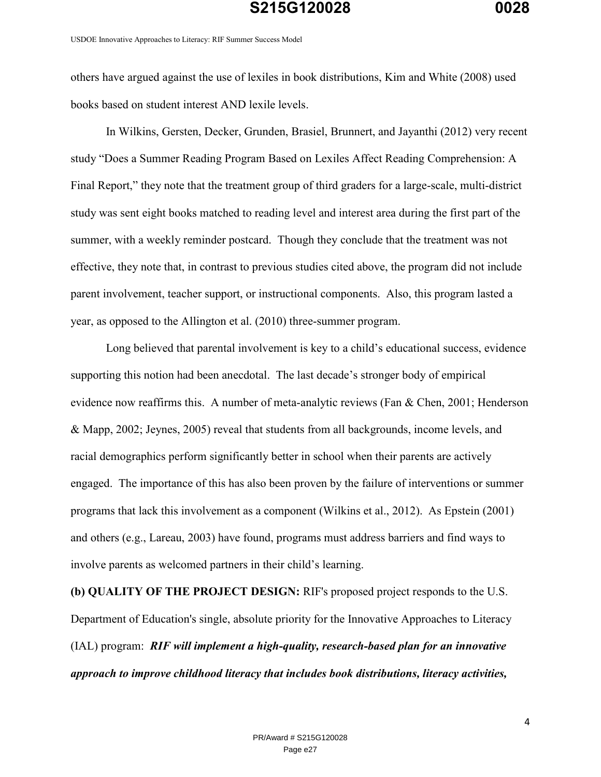USDOE Innovative Approaches to Literacy: RIF Summer Success Model

others have argued against the use of lexiles in book distributions, Kim and White (2008) used books based on student interest AND lexile levels.

In Wilkins, Gersten, Decker, Grunden, Brasiel, Brunnert, and Jayanthi (2012) very recent study "Does a Summer Reading Program Based on Lexiles Affect Reading Comprehension: A Final Report," they note that the treatment group of third graders for a large-scale, multi-district study was sent eight books matched to reading level and interest area during the first part of the summer, with a weekly reminder postcard. Though they conclude that the treatment was not effective, they note that, in contrast to previous studies cited above, the program did not include parent involvement, teacher support, or instructional components. Also, this program lasted a year, as opposed to the Allington et al. (2010) three-summer program.

Long believed that parental involvement is key to a child's educational success, evidence supporting this notion had been anecdotal. The last decade's stronger body of empirical evidence now reaffirms this. A number of meta-analytic reviews (Fan & Chen, 2001; Henderson & Mapp, 2002; Jeynes, 2005) reveal that students from all backgrounds, income levels, and racial demographics perform significantly better in school when their parents are actively engaged. The importance of this has also been proven by the failure of interventions or summer programs that lack this involvement as a component (Wilkins et al., 2012). As Epstein (2001) and others (e.g., Lareau, 2003) have found, programs must address barriers and find ways to involve parents as welcomed partners in their child's learning.

**(b) QUALITY OF THE PROJECT DESIGN:** RIF's proposed project responds to the U.S. Department of Education's single, absolute priority for the Innovative Approaches to Literacy (IAL) program: *RIF will implement a high-quality, research-based plan for an innovative approach to improve childhood literacy that includes book distributions, literacy activities,*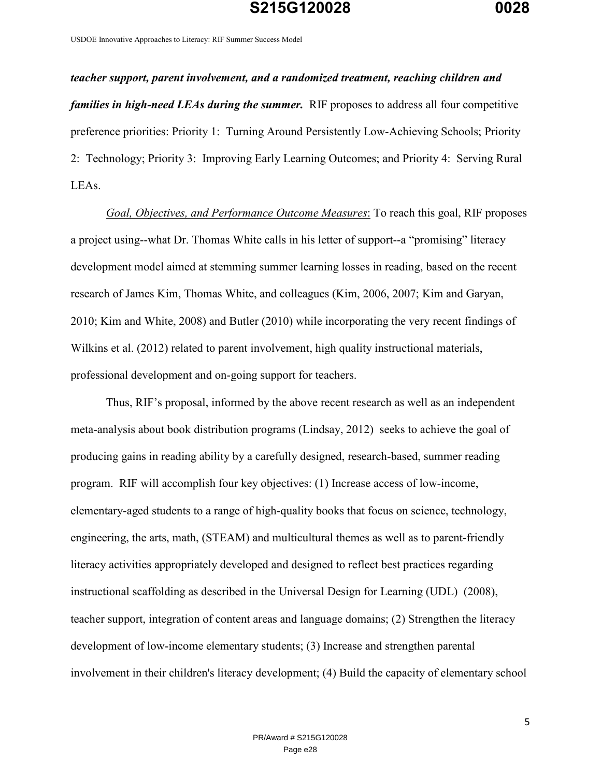USDOE Innovative Approaches to Literacy: RIF Summer Success Model

*teacher support, parent involvement, and a randomized treatment, reaching children and families in high-need LEAs during the summer.* RIF proposes to address all four competitive preference priorities: Priority 1: Turning Around Persistently Low-Achieving Schools; Priority 2: Technology; Priority 3: Improving Early Learning Outcomes; and Priority 4: Serving Rural LEAs.

*Goal, Objectives, and Performance Outcome Measures*: To reach this goal, RIF proposes a project using--what Dr. Thomas White calls in his letter of support--a "promising" literacy development model aimed at stemming summer learning losses in reading, based on the recent research of James Kim, Thomas White, and colleagues (Kim, 2006, 2007; Kim and Garyan, 2010; Kim and White, 2008) and Butler (2010) while incorporating the very recent findings of Wilkins et al. (2012) related to parent involvement, high quality instructional materials, professional development and on-going support for teachers.

Thus, RIF's proposal, informed by the above recent research as well as an independent meta-analysis about book distribution programs (Lindsay, 2012) seeks to achieve the goal of producing gains in reading ability by a carefully designed, research-based, summer reading program. RIF will accomplish four key objectives: (1) Increase access of low-income, elementary-aged students to a range of high-quality books that focus on science, technology, engineering, the arts, math, (STEAM) and multicultural themes as well as to parent-friendly literacy activities appropriately developed and designed to reflect best practices regarding instructional scaffolding as described in the Universal Design for Learning (UDL) (2008), teacher support, integration of content areas and language domains; (2) Strengthen the literacy development of low-income elementary students; (3) Increase and strengthen parental involvement in their children's literacy development; (4) Build the capacity of elementary school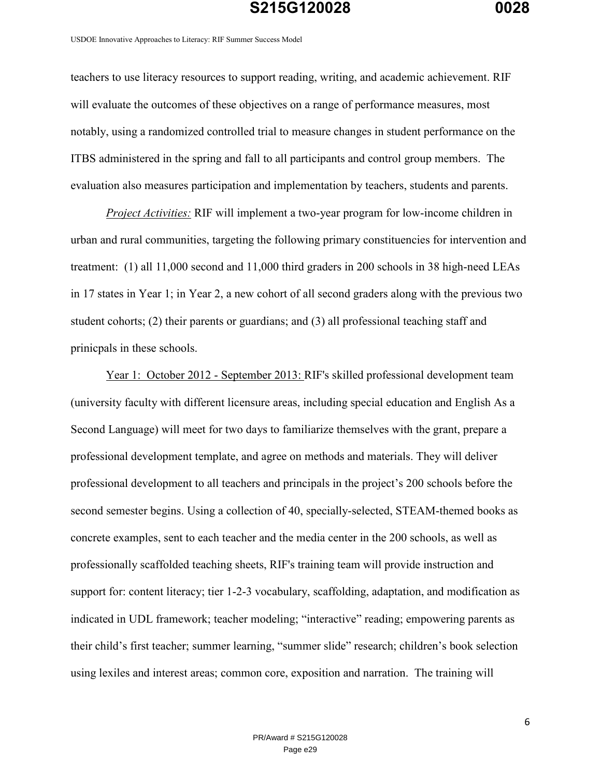USDOE Innovative Approaches to Literacy: RIF Summer Success Model

teachers to use literacy resources to support reading, writing, and academic achievement. RIF will evaluate the outcomes of these objectives on a range of performance measures, most notably, using a randomized controlled trial to measure changes in student performance on the ITBS administered in the spring and fall to all participants and control group members. The evaluation also measures participation and implementation by teachers, students and parents.

*Project Activities:* RIF will implement a two-year program for low-income children in urban and rural communities, targeting the following primary constituencies for intervention and treatment: (1) all 11,000 second and 11,000 third graders in 200 schools in 38 high-need LEAs in 17 states in Year 1; in Year 2, a new cohort of all second graders along with the previous two student cohorts; (2) their parents or guardians; and (3) all professional teaching staff and prinicpals in these schools.

Year 1: October 2012 - September 2013: RIF's skilled professional development team (university faculty with different licensure areas, including special education and English As a Second Language) will meet for two days to familiarize themselves with the grant, prepare a professional development template, and agree on methods and materials. They will deliver professional development to all teachers and principals in the project's 200 schools before the second semester begins. Using a collection of 40, specially-selected, STEAM-themed books as concrete examples, sent to each teacher and the media center in the 200 schools, as well as professionally scaffolded teaching sheets, RIF's training team will provide instruction and support for: content literacy; tier 1-2-3 vocabulary, scaffolding, adaptation, and modification as indicated in UDL framework; teacher modeling; "interactive" reading; empowering parents as their child's first teacher; summer learning, "summer slide" research; children's book selection using lexiles and interest areas; common core, exposition and narration. The training will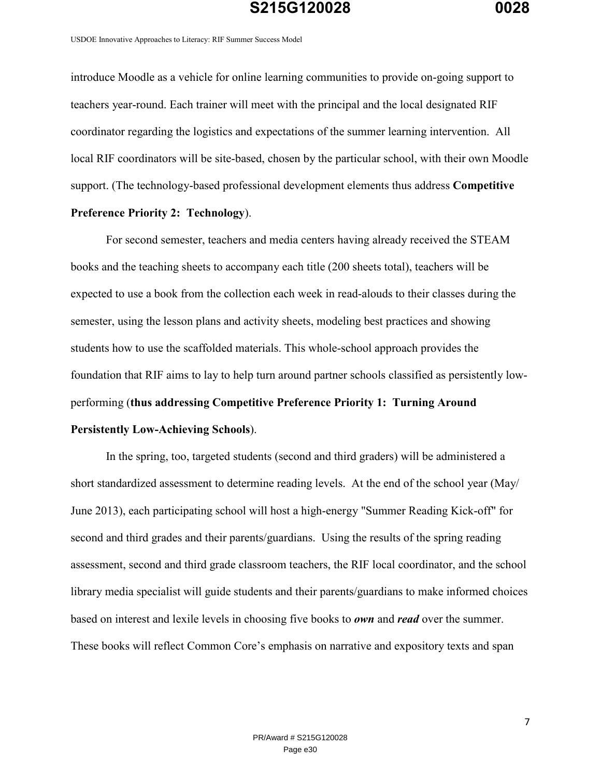USDOE Innovative Approaches to Literacy: RIF Summer Success Model

introduce Moodle as a vehicle for online learning communities to provide on-going support to teachers year-round. Each trainer will meet with the principal and the local designated RIF coordinator regarding the logistics and expectations of the summer learning intervention. All local RIF coordinators will be site-based, chosen by the particular school, with their own Moodle support. (The technology-based professional development elements thus address **Competitive** 

#### **Preference Priority 2: Technology**).

For second semester, teachers and media centers having already received the STEAM books and the teaching sheets to accompany each title (200 sheets total), teachers will be expected to use a book from the collection each week in read-alouds to their classes during the semester, using the lesson plans and activity sheets, modeling best practices and showing students how to use the scaffolded materials. This whole-school approach provides the foundation that RIF aims to lay to help turn around partner schools classified as persistently lowperforming (**thus addressing Competitive Preference Priority 1: Turning Around Persistently Low-Achieving Schools**).

In the spring, too, targeted students (second and third graders) will be administered a short standardized assessment to determine reading levels. At the end of the school year (May/ June 2013), each participating school will host a high-energy "Summer Reading Kick-off" for second and third grades and their parents/guardians. Using the results of the spring reading assessment, second and third grade classroom teachers, the RIF local coordinator, and the school library media specialist will guide students and their parents/guardians to make informed choices based on interest and lexile levels in choosing five books to *own* and *read* over the summer. These books will reflect Common Core's emphasis on narrative and expository texts and span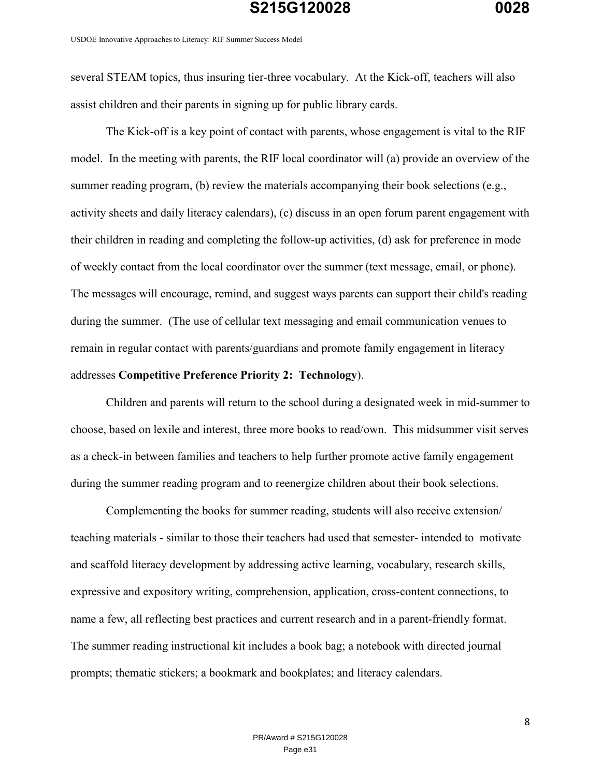USDOE Innovative Approaches to Literacy: RIF Summer Success Model

several STEAM topics, thus insuring tier-three vocabulary. At the Kick-off, teachers will also assist children and their parents in signing up for public library cards.

 The Kick-off is a key point of contact with parents, whose engagement is vital to the RIF model. In the meeting with parents, the RIF local coordinator will (a) provide an overview of the summer reading program, (b) review the materials accompanying their book selections (e.g., activity sheets and daily literacy calendars), (c) discuss in an open forum parent engagement with their children in reading and completing the follow-up activities, (d) ask for preference in mode of weekly contact from the local coordinator over the summer (text message, email, or phone). The messages will encourage, remind, and suggest ways parents can support their child's reading during the summer. (The use of cellular text messaging and email communication venues to remain in regular contact with parents/guardians and promote family engagement in literacy addresses **Competitive Preference Priority 2: Technology**).

Children and parents will return to the school during a designated week in mid-summer to choose, based on lexile and interest, three more books to read/own. This midsummer visit serves as a check-in between families and teachers to help further promote active family engagement during the summer reading program and to reenergize children about their book selections.

Complementing the books for summer reading, students will also receive extension/ teaching materials - similar to those their teachers had used that semester- intended to motivate and scaffold literacy development by addressing active learning, vocabulary, research skills, expressive and expository writing, comprehension, application, cross-content connections, to name a few, all reflecting best practices and current research and in a parent-friendly format. The summer reading instructional kit includes a book bag; a notebook with directed journal prompts; thematic stickers; a bookmark and bookplates; and literacy calendars.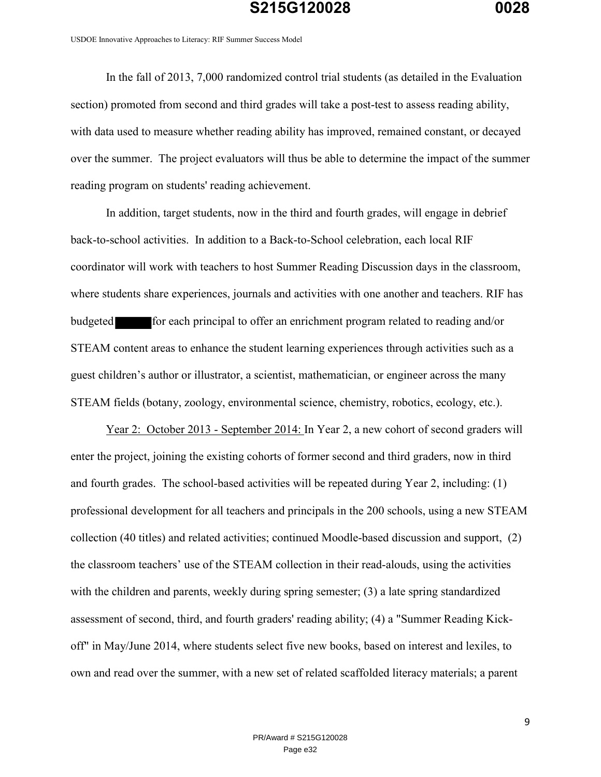USDOE Innovative Approaches to Literacy: RIF Summer Success Model

In the fall of 2013, 7,000 randomized control trial students (as detailed in the Evaluation section) promoted from second and third grades will take a post-test to assess reading ability, with data used to measure whether reading ability has improved, remained constant, or decayed over the summer. The project evaluators will thus be able to determine the impact of the summer reading program on students' reading achievement.

In addition, target students, now in the third and fourth grades, will engage in debrief back-to-school activities. In addition to a Back-to-School celebration, each local RIF coordinator will work with teachers to host Summer Reading Discussion days in the classroom, where students share experiences, journals and activities with one another and teachers. RIF has budgeted for each principal to offer an enrichment program related to reading and/or STEAM content areas to enhance the student learning experiences through activities such as a guest children's author or illustrator, a scientist, mathematician, or engineer across the many STEAM fields (botany, zoology, environmental science, chemistry, robotics, ecology, etc.).

Year 2: October 2013 - September 2014: In Year 2, a new cohort of second graders will enter the project, joining the existing cohorts of former second and third graders, now in third and fourth grades. The school-based activities will be repeated during Year 2, including: (1) professional development for all teachers and principals in the 200 schools, using a new STEAM collection (40 titles) and related activities; continued Moodle-based discussion and support, (2) the classroom teachers' use of the STEAM collection in their read-alouds, using the activities with the children and parents, weekly during spring semester; (3) a late spring standardized assessment of second, third, and fourth graders' reading ability; (4) a "Summer Reading Kickoff" in May/June 2014, where students select five new books, based on interest and lexiles, to own and read over the summer, with a new set of related scaffolded literacy materials; a parent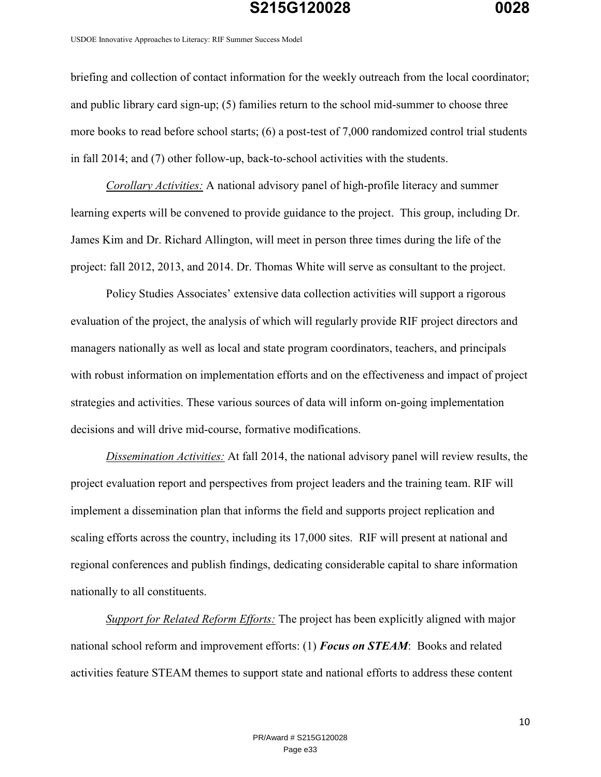USDOE Innovative Approaches to Literacy: RIF Summer Success Model

briefing and collection of contact information for the weekly outreach from the local coordinator; and public library card sign-up; (5) families return to the school mid-summer to choose three more books to read before school starts; (6) a post-test of 7,000 randomized control trial students in fall 2014; and (7) other follow-up, back-to-school activities with the students.

*Corollary Activities:* A national advisory panel of high-profile literacy and summer learning experts will be convened to provide guidance to the project. This group, including Dr. James Kim and Dr. Richard Allington, will meet in person three times during the life of the project: fall 2012, 2013, and 2014. Dr. Thomas White will serve as consultant to the project.

Policy Studies Associates' extensive data collection activities will support a rigorous evaluation of the project, the analysis of which will regularly provide RIF project directors and managers nationally as well as local and state program coordinators, teachers, and principals with robust information on implementation efforts and on the effectiveness and impact of project strategies and activities. These various sources of data will inform on-going implementation decisions and will drive mid-course, formative modifications.

*Dissemination Activities:* At fall 2014, the national advisory panel will review results, the project evaluation report and perspectives from project leaders and the training team. RIF will implement a dissemination plan that informs the field and supports project replication and scaling efforts across the country, including its 17,000 sites. RIF will present at national and regional conferences and publish findings, dedicating considerable capital to share information nationally to all constituents.

*Support for Related Reform Efforts:* The project has been explicitly aligned with major national school reform and improvement efforts: (1) *Focus on STEAM*: Books and related activities feature STEAM themes to support state and national efforts to address these content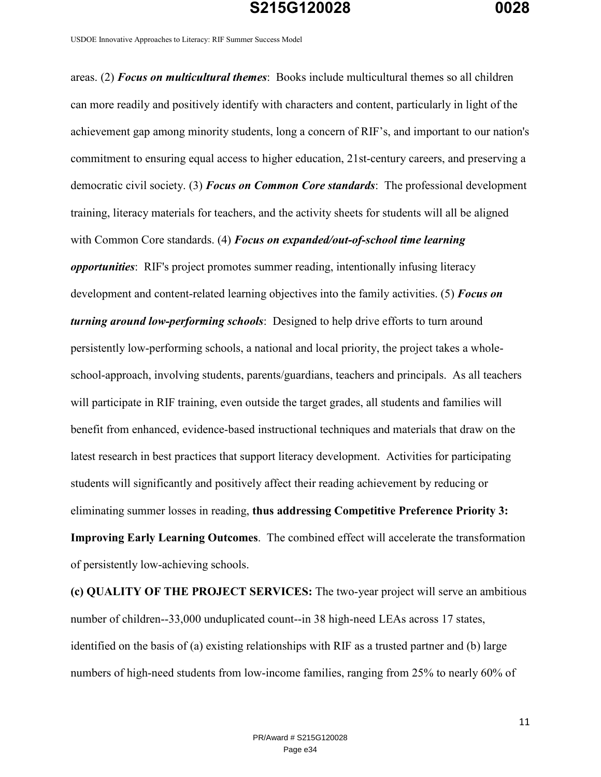USDOE Innovative Approaches to Literacy: RIF Summer Success Model

areas. (2) *Focus on multicultural themes*: Books include multicultural themes so all children can more readily and positively identify with characters and content, particularly in light of the achievement gap among minority students, long a concern of RIF's, and important to our nation's commitment to ensuring equal access to higher education, 21st-century careers, and preserving a democratic civil society. (3) *Focus on Common Core standards*: The professional development training, literacy materials for teachers, and the activity sheets for students will all be aligned with Common Core standards. (4) *Focus on expanded/out-of-school time learning opportunities*: RIF's project promotes summer reading, intentionally infusing literacy development and content-related learning objectives into the family activities. (5) *Focus on turning around low-performing schools*: Designed to help drive efforts to turn around persistently low-performing schools, a national and local priority, the project takes a wholeschool-approach, involving students, parents/guardians, teachers and principals. As all teachers will participate in RIF training, even outside the target grades, all students and families will benefit from enhanced, evidence-based instructional techniques and materials that draw on the latest research in best practices that support literacy development. Activities for participating students will significantly and positively affect their reading achievement by reducing or eliminating summer losses in reading, **thus addressing Competitive Preference Priority 3: Improving Early Learning Outcomes**. The combined effect will accelerate the transformation of persistently low-achieving schools.

**(c) QUALITY OF THE PROJECT SERVICES:** The two-year project will serve an ambitious number of children--33,000 unduplicated count--in 38 high-need LEAs across 17 states, identified on the basis of (a) existing relationships with RIF as a trusted partner and (b) large numbers of high-need students from low-income families, ranging from 25% to nearly 60% of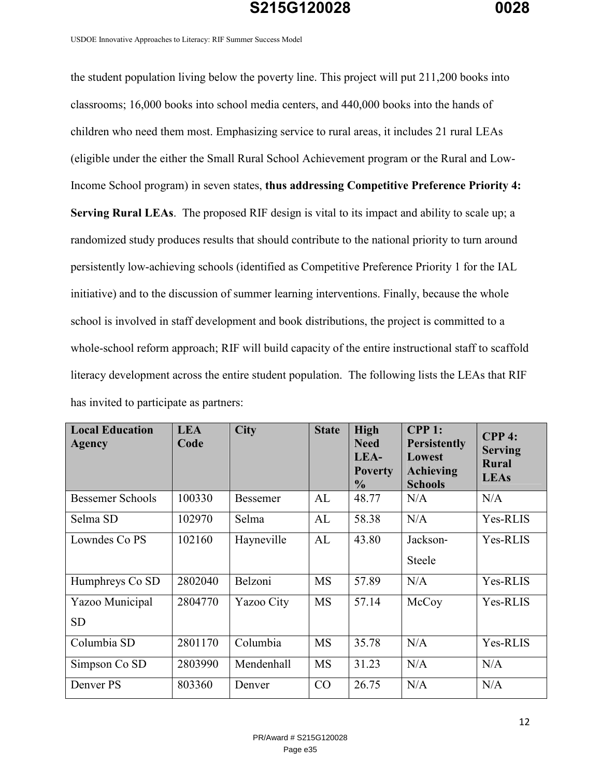USDOE Innovative Approaches to Literacy: RIF Summer Success Model

the student population living below the poverty line. This project will put 211,200 books into classrooms; 16,000 books into school media centers, and 440,000 books into the hands of children who need them most. Emphasizing service to rural areas, it includes 21 rural LEAs (eligible under the either the Small Rural School Achievement program or the Rural and Low-Income School program) in seven states, **thus addressing Competitive Preference Priority 4: Serving Rural LEAs**. The proposed RIF design is vital to its impact and ability to scale up; a randomized study produces results that should contribute to the national priority to turn around persistently low-achieving schools (identified as Competitive Preference Priority 1 for the IAL initiative) and to the discussion of summer learning interventions. Finally, because the whole school is involved in staff development and book distributions, the project is committed to a whole-school reform approach; RIF will build capacity of the entire instructional staff to scaffold literacy development across the entire student population. The following lists the LEAs that RIF has invited to participate as partners:

| <b>Local Education</b><br>Agency | <b>LEA</b><br>Code | <b>City</b>     | <b>State</b> | <b>High</b><br><b>Need</b><br>LEA-<br><b>Poverty</b><br>$\frac{0}{0}$ | $CPP$ 1:<br><b>Persistently</b><br>Lowest<br><b>Achieving</b><br><b>Schools</b> | $CPP4$ :<br><b>Serving</b><br><b>Rural</b><br><b>LEAs</b> |
|----------------------------------|--------------------|-----------------|--------------|-----------------------------------------------------------------------|---------------------------------------------------------------------------------|-----------------------------------------------------------|
| <b>Bessemer Schools</b>          | 100330             | <b>Bessemer</b> | AL           | 48.77                                                                 | N/A                                                                             | N/A                                                       |
| Selma SD                         | 102970             | Selma           | AL           | 58.38                                                                 | N/A                                                                             | Yes-RLIS                                                  |
| Lowndes Co PS                    | 102160             | Hayneville      | AL           | 43.80                                                                 | Jackson-<br><b>Steele</b>                                                       | Yes-RLIS                                                  |
| Humphreys Co SD                  | 2802040            | Belzoni         | <b>MS</b>    | 57.89                                                                 | N/A                                                                             | Yes-RLIS                                                  |
| Yazoo Municipal<br><b>SD</b>     | 2804770            | Yazoo City      | <b>MS</b>    | 57.14                                                                 | McCoy                                                                           | Yes-RLIS                                                  |
| Columbia SD                      | 2801170            | Columbia        | <b>MS</b>    | 35.78                                                                 | N/A                                                                             | Yes-RLIS                                                  |
| Simpson Co SD                    | 2803990            | Mendenhall      | <b>MS</b>    | 31.23                                                                 | N/A                                                                             | N/A                                                       |
| Denver PS                        | 803360             | Denver          | CO           | 26.75                                                                 | N/A                                                                             | N/A                                                       |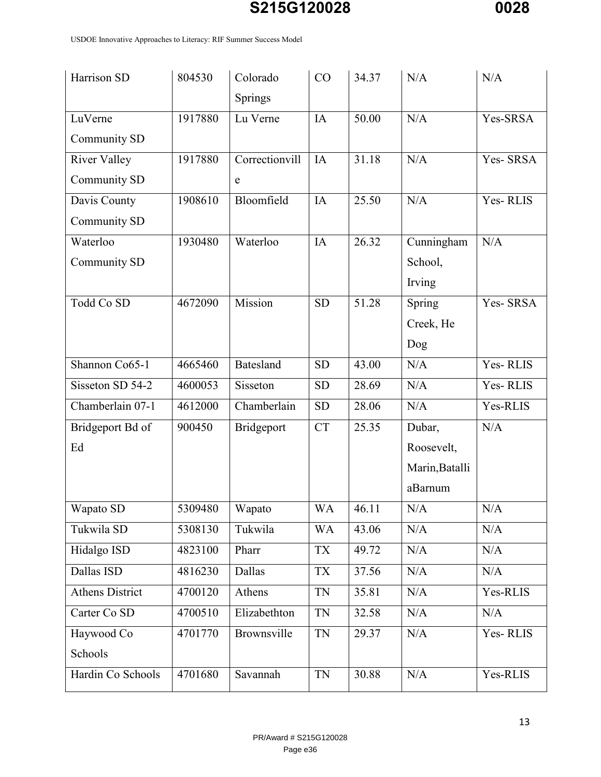USDOE Innovative Approaches to Literacy: RIF Summer Success Model

| Harrison SD            | 804530  | Colorado       | CO        | 34.37 | N/A            | N/A      |
|------------------------|---------|----------------|-----------|-------|----------------|----------|
|                        |         | Springs        |           |       |                |          |
| LuVerne                | 1917880 | Lu Verne       | IA        | 50.00 | N/A            | Yes-SRSA |
| Community SD           |         |                |           |       |                |          |
| <b>River Valley</b>    | 1917880 | Correctionvill | IA        | 31.18 | N/A            | Yes-SRSA |
| Community SD           |         | ${\bf e}$      |           |       |                |          |
| Davis County           | 1908610 | Bloomfield     | IA        | 25.50 | N/A            | Yes-RLIS |
| Community SD           |         |                |           |       |                |          |
| Waterloo               | 1930480 | Waterloo       | IA        | 26.32 | Cunningham     | N/A      |
| Community SD           |         |                |           |       | School,        |          |
|                        |         |                |           |       | Irving         |          |
| Todd Co SD             | 4672090 | Mission        | <b>SD</b> | 51.28 | Spring         | Yes-SRSA |
|                        |         |                |           |       | Creek, He      |          |
|                        |         |                |           |       | Dog            |          |
| Shannon Co65-1         | 4665460 | Batesland      | <b>SD</b> | 43.00 | N/A            | Yes-RLIS |
| Sisseton SD 54-2       | 4600053 | Sisseton       | <b>SD</b> | 28.69 | N/A            | Yes-RLIS |
| Chamberlain 07-1       | 4612000 | Chamberlain    | <b>SD</b> | 28.06 | N/A            | Yes-RLIS |
| Bridgeport Bd of       | 900450  | Bridgeport     | <b>CT</b> | 25.35 | Dubar,         | N/A      |
| Ed                     |         |                |           |       | Roosevelt,     |          |
|                        |         |                |           |       | Marin, Batalli |          |
|                        |         |                |           |       | aBarnum        |          |
| Wapato SD              | 5309480 | Wapato         | WA        | 46.11 | N/A            | N/A      |
| Tukwila SD             | 5308130 | Tukwila        | <b>WA</b> | 43.06 | N/A            | N/A      |
| Hidalgo ISD            | 4823100 | Pharr          | <b>TX</b> | 49.72 | N/A            | N/A      |
| Dallas ISD             | 4816230 | Dallas         | <b>TX</b> | 37.56 | N/A            | N/A      |
| <b>Athens District</b> | 4700120 | Athens         | <b>TN</b> | 35.81 | N/A            | Yes-RLIS |
| Carter Co SD           | 4700510 | Elizabethton   | <b>TN</b> | 32.58 | N/A            | N/A      |
| Haywood Co             | 4701770 | Brownsville    | <b>TN</b> | 29.37 | N/A            | Yes-RLIS |
| Schools                |         |                |           |       |                |          |
| Hardin Co Schools      | 4701680 | Savannah       | <b>TN</b> | 30.88 | $\rm N/A$      | Yes-RLIS |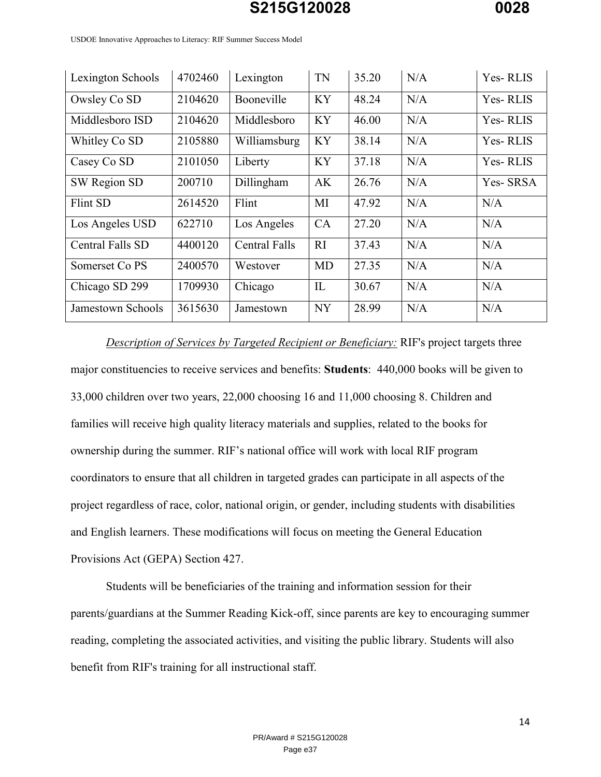| Lexington Schools         | 4702460 | Lexington            | TN           | 35.20 | N/A | Yes-RLIS |
|---------------------------|---------|----------------------|--------------|-------|-----|----------|
| Owsley Co SD              | 2104620 | Booneville           | <b>KY</b>    | 48.24 | N/A | Yes-RLIS |
| Middlesboro ISD           | 2104620 | Middlesboro          | <b>KY</b>    | 46.00 | N/A | Yes-RLIS |
| Whitley Co SD             | 2105880 | Williamsburg         | <b>KY</b>    | 38.14 | N/A | Yes-RLIS |
| Casey Co SD               | 2101050 | Liberty              | <b>KY</b>    | 37.18 | N/A | Yes-RLIS |
| SW Region SD              | 200710  | Dillingham           | AK           | 26.76 | N/A | Yes-SRSA |
| Flint SD                  | 2614520 | Flint                | MI           | 47.92 | N/A | N/A      |
| Los Angeles USD           | 622710  | Los Angeles          | CA           | 27.20 | N/A | N/A      |
| Central Falls SD          | 4400120 | <b>Central Falls</b> | RI           | 37.43 | N/A | N/A      |
| Somerset Co <sub>PS</sub> | 2400570 | Westover             | MD           | 27.35 | N/A | N/A      |
| Chicago SD 299            | 1709930 | Chicago              | $\mathbf{L}$ | 30.67 | N/A | N/A      |
| Jamestown Schools         | 3615630 | Jamestown            | <b>NY</b>    | 28.99 | N/A | N/A      |

USDOE Innovative Approaches to Literacy: RIF Summer Success Model

*Description of Services by Targeted Recipient or Beneficiary:* RIF's project targets three major constituencies to receive services and benefits: **Students**: 440,000 books will be given to 33,000 children over two years, 22,000 choosing 16 and 11,000 choosing 8. Children and families will receive high quality literacy materials and supplies, related to the books for ownership during the summer. RIF's national office will work with local RIF program coordinators to ensure that all children in targeted grades can participate in all aspects of the project regardless of race, color, national origin, or gender, including students with disabilities and English learners. These modifications will focus on meeting the General Education Provisions Act (GEPA) Section 427.

Students will be beneficiaries of the training and information session for their parents/guardians at the Summer Reading Kick-off, since parents are key to encouraging summer reading, completing the associated activities, and visiting the public library. Students will also benefit from RIF's training for all instructional staff.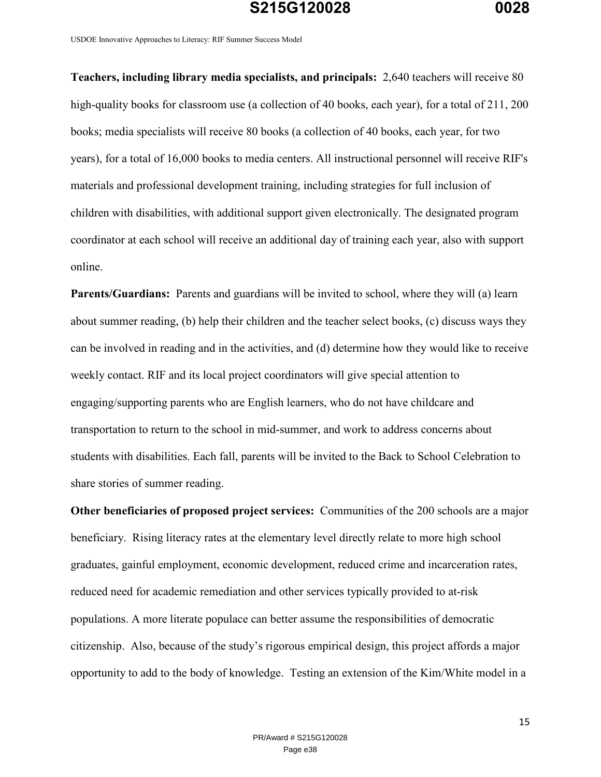USDOE Innovative Approaches to Literacy: RIF Summer Success Model

**Teachers, including library media specialists, and principals:** 2,640 teachers will receive 80 high-quality books for classroom use (a collection of 40 books, each year), for a total of 211, 200 books; media specialists will receive 80 books (a collection of 40 books, each year, for two years), for a total of 16,000 books to media centers. All instructional personnel will receive RIF's materials and professional development training, including strategies for full inclusion of children with disabilities, with additional support given electronically. The designated program coordinator at each school will receive an additional day of training each year, also with support online.

**Parents/Guardians:** Parents and guardians will be invited to school, where they will (a) learn about summer reading, (b) help their children and the teacher select books, (c) discuss ways they can be involved in reading and in the activities, and (d) determine how they would like to receive weekly contact. RIF and its local project coordinators will give special attention to engaging/supporting parents who are English learners, who do not have childcare and transportation to return to the school in mid-summer, and work to address concerns about students with disabilities. Each fall, parents will be invited to the Back to School Celebration to share stories of summer reading.

**Other beneficiaries of proposed project services:** Communities of the 200 schools are a major beneficiary. Rising literacy rates at the elementary level directly relate to more high school graduates, gainful employment, economic development, reduced crime and incarceration rates, reduced need for academic remediation and other services typically provided to at-risk populations. A more literate populace can better assume the responsibilities of democratic citizenship. Also, because of the study's rigorous empirical design, this project affords a major opportunity to add to the body of knowledge. Testing an extension of the Kim/White model in a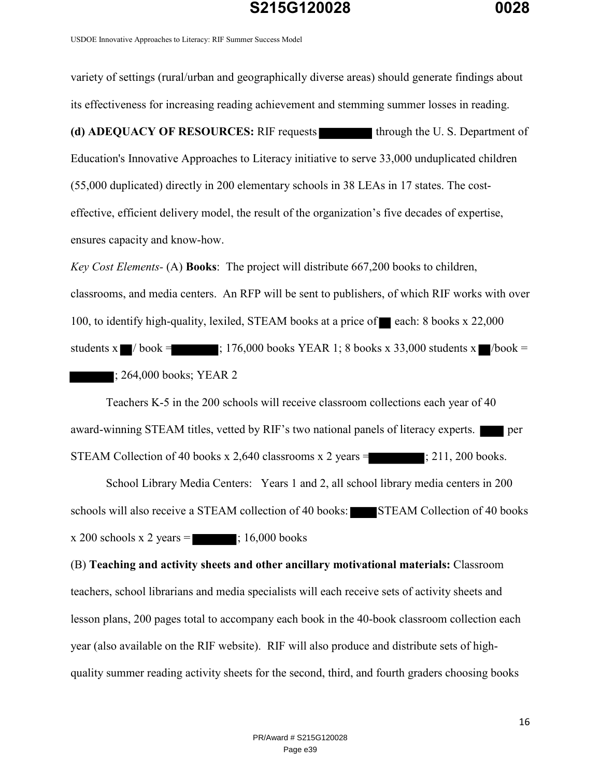USDOE Innovative Approaches to Literacy: RIF Summer Success Model

variety of settings (rural/urban and geographically diverse areas) should generate findings about its effectiveness for increasing reading achievement and stemming summer losses in reading. **(d) ADEQUACY OF RESOURCES:** RIF requests through the U. S. Department of Education's Innovative Approaches to Literacy initiative to serve 33,000 unduplicated children (55,000 duplicated) directly in 200 elementary schools in 38 LEAs in 17 states. The costeffective, efficient delivery model, the result of the organization's five decades of expertise, ensures capacity and know-how. *Key Cost Elements-* (A) **Books**: The project will distribute 667,200 books to children,

classrooms, and media centers. An RFP will be sent to publishers, of which RIF works with over 100, to identify high-quality, lexiled, STEAM books at a price of each: 8 books  $x$  22,000 students x  $\blacksquare$  / book = ; 176,000 books YEAR 1; 8 books x 33,000 students x  $\blacksquare$ /book =  $\blacksquare$ ; 264,000 books; YEAR 2

Teachers K-5 in the 200 schools will receive classroom collections each year of 40 award-winning STEAM titles, vetted by RIF's two national panels of literacy experts. STEAM Collection of 40 books  $x$  2,640 classrooms  $x$  2 years =  $\qquad$ ; 211, 200 books.

School Library Media Centers: Years 1 and 2, all school library media centers in 200 schools will also receive a STEAM collection of 40 books: STEAM Collection of 40 books  $x 200$  schools  $x 2$  years  $=$  ; 16,000 books

(B) **Teaching and activity sheets and other ancillary motivational materials:** Classroom teachers, school librarians and media specialists will each receive sets of activity sheets and lesson plans, 200 pages total to accompany each book in the 40-book classroom collection each year (also available on the RIF website). RIF will also produce and distribute sets of highquality summer reading activity sheets for the second, third, and fourth graders choosing books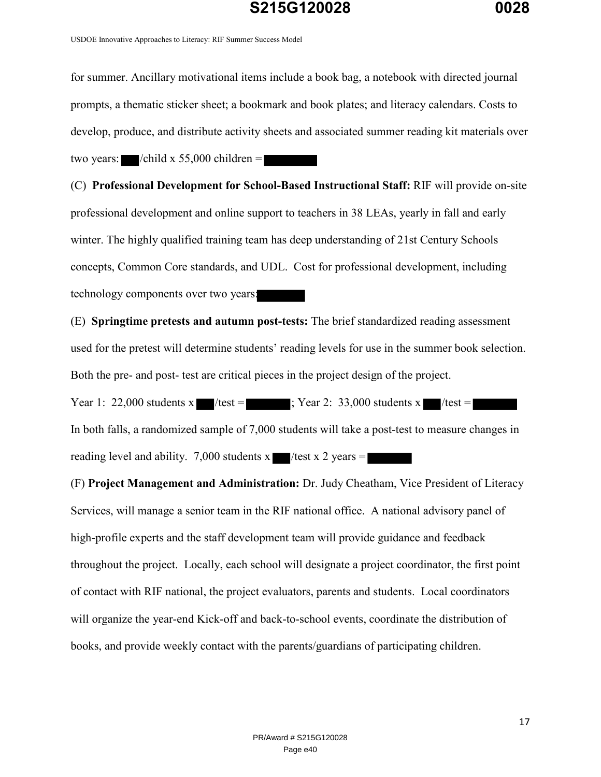USDOE Innovative Approaches to Literacy: RIF Summer Success Model

for summer. Ancillary motivational items include a book bag, a notebook with directed journal prompts, a thematic sticker sheet; a bookmark and book plates; and literacy calendars. Costs to develop, produce, and distribute activity sheets and associated summer reading kit materials over two years:  $\blacksquare$ /child x 55,000 children =  $\blacksquare$ 

(C) **Professional Development for School-Based Instructional Staff:** RIF will provide on-site professional development and online support to teachers in 38 LEAs, yearly in fall and early winter. The highly qualified training team has deep understanding of 21st Century Schools concepts, Common Core standards, and UDL. Cost for professional development, including technology components over two years:

(E) **Springtime pretests and autumn post-tests:** The brief standardized reading assessment used for the pretest will determine students' reading levels for use in the summer book selection. Both the pre- and post- test are critical pieces in the project design of the project.

Year 1: 22,000 students x /test =  $\blacksquare$ ; Year 2: 33,000 students x /test = In both falls, a randomized sample of 7,000 students will take a post-test to measure changes in reading level and ability. 7,000 students x  $\blacksquare$ /test x 2 years =

(F) **Project Management and Administration:** Dr. Judy Cheatham, Vice President of Literacy Services, will manage a senior team in the RIF national office. A national advisory panel of high-profile experts and the staff development team will provide guidance and feedback throughout the project. Locally, each school will designate a project coordinator, the first point of contact with RIF national, the project evaluators, parents and students. Local coordinators will organize the year-end Kick-off and back-to-school events, coordinate the distribution of books, and provide weekly contact with the parents/guardians of participating children.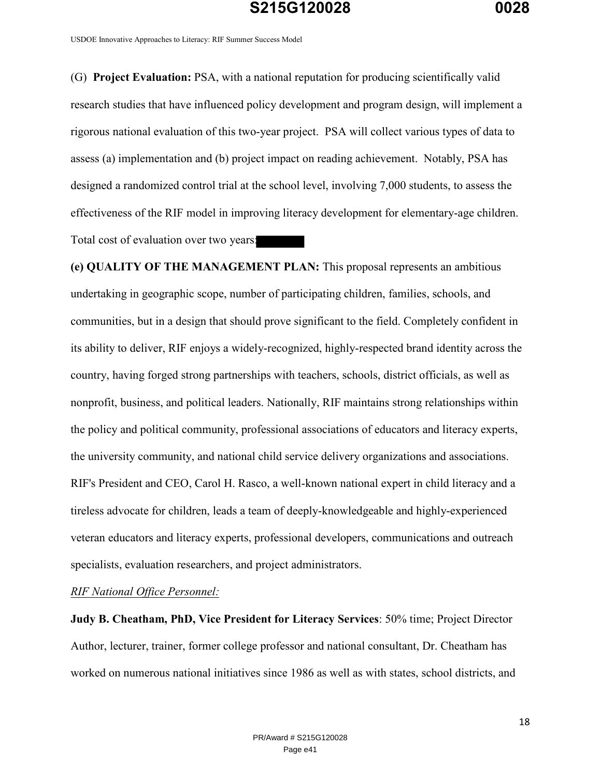USDOE Innovative Approaches to Literacy: RIF Summer Success Model

(G) **Project Evaluation:** PSA, with a national reputation for producing scientifically valid research studies that have influenced policy development and program design, will implement a rigorous national evaluation of this two-year project. PSA will collect various types of data to assess (a) implementation and (b) project impact on reading achievement. Notably, PSA has designed a randomized control trial at the school level, involving 7,000 students, to assess the effectiveness of the RIF model in improving literacy development for elementary-age children. Total cost of evaluation over two years:

**(e) QUALITY OF THE MANAGEMENT PLAN:** This proposal represents an ambitious undertaking in geographic scope, number of participating children, families, schools, and communities, but in a design that should prove significant to the field. Completely confident in its ability to deliver, RIF enjoys a widely-recognized, highly-respected brand identity across the country, having forged strong partnerships with teachers, schools, district officials, as well as nonprofit, business, and political leaders. Nationally, RIF maintains strong relationships within the policy and political community, professional associations of educators and literacy experts, the university community, and national child service delivery organizations and associations. RIF's President and CEO, Carol H. Rasco, a well-known national expert in child literacy and a tireless advocate for children, leads a team of deeply-knowledgeable and highly-experienced veteran educators and literacy experts, professional developers, communications and outreach specialists, evaluation researchers, and project administrators.

*RIF National Office Personnel:*

**Judy B. Cheatham, PhD, Vice President for Literacy Services**: 50% time; Project Director Author, lecturer, trainer, former college professor and national consultant, Dr. Cheatham has worked on numerous national initiatives since 1986 as well as with states, school districts, and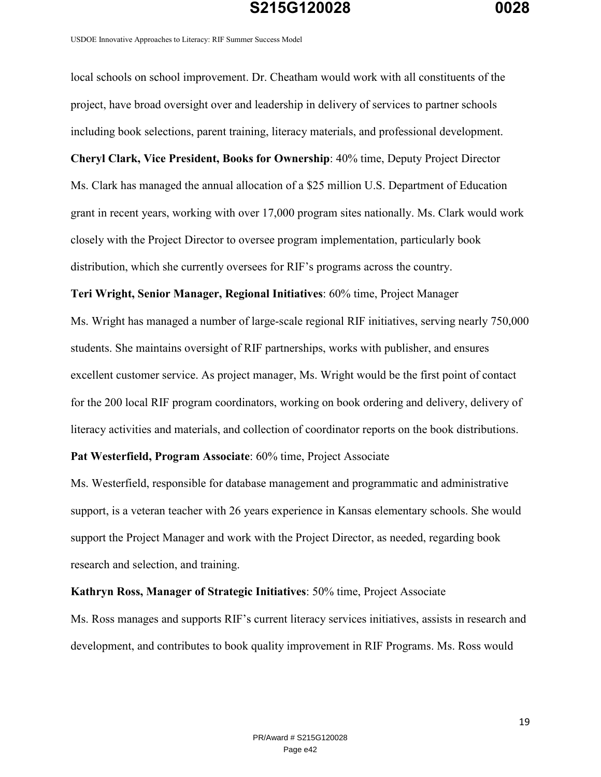USDOE Innovative Approaches to Literacy: RIF Summer Success Model

local schools on school improvement. Dr. Cheatham would work with all constituents of the project, have broad oversight over and leadership in delivery of services to partner schools including book selections, parent training, literacy materials, and professional development. **Cheryl Clark, Vice President, Books for Ownership**: 40% time, Deputy Project Director Ms. Clark has managed the annual allocation of a \$25 million U.S. Department of Education grant in recent years, working with over 17,000 program sites nationally. Ms. Clark would work closely with the Project Director to oversee program implementation, particularly book distribution, which she currently oversees for RIF's programs across the country.

**Teri Wright, Senior Manager, Regional Initiatives**: 60% time, Project Manager

Ms. Wright has managed a number of large-scale regional RIF initiatives, serving nearly 750,000 students. She maintains oversight of RIF partnerships, works with publisher, and ensures excellent customer service. As project manager, Ms. Wright would be the first point of contact for the 200 local RIF program coordinators, working on book ordering and delivery, delivery of literacy activities and materials, and collection of coordinator reports on the book distributions.

#### **Pat Westerfield, Program Associate**: 60% time, Project Associate

Ms. Westerfield, responsible for database management and programmatic and administrative support, is a veteran teacher with 26 years experience in Kansas elementary schools. She would support the Project Manager and work with the Project Director, as needed, regarding book research and selection, and training.

**Kathryn Ross, Manager of Strategic Initiatives**: 50% time, Project Associate Ms. Ross manages and supports RIF's current literacy services initiatives, assists in research and development, and contributes to book quality improvement in RIF Programs. Ms. Ross would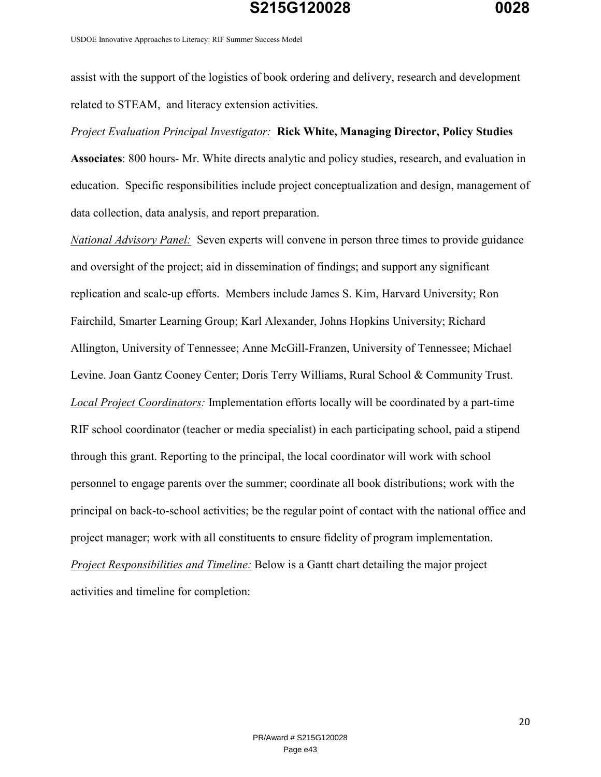USDOE Innovative Approaches to Literacy: RIF Summer Success Model

assist with the support of the logistics of book ordering and delivery, research and development related to STEAM, and literacy extension activities.

#### *Project Evaluation Principal Investigator:* **Rick White, Managing Director, Policy Studies**

**Associates**: 800 hours- Mr. White directs analytic and policy studies, research, and evaluation in education. Specific responsibilities include project conceptualization and design, management of data collection, data analysis, and report preparation.

*National Advisory Panel:* Seven experts will convene in person three times to provide guidance and oversight of the project; aid in dissemination of findings; and support any significant replication and scale-up efforts. Members include James S. Kim, Harvard University; Ron Fairchild, Smarter Learning Group; Karl Alexander, Johns Hopkins University; Richard Allington, University of Tennessee; Anne McGill-Franzen, University of Tennessee; Michael Levine. Joan Gantz Cooney Center; Doris Terry Williams, Rural School & Community Trust. *Local Project Coordinators:* Implementation efforts locally will be coordinated by a part-time RIF school coordinator (teacher or media specialist) in each participating school, paid a stipend through this grant. Reporting to the principal, the local coordinator will work with school personnel to engage parents over the summer; coordinate all book distributions; work with the principal on back-to-school activities; be the regular point of contact with the national office and project manager; work with all constituents to ensure fidelity of program implementation. *Project Responsibilities and Timeline:* Below is a Gantt chart detailing the major project activities and timeline for completion: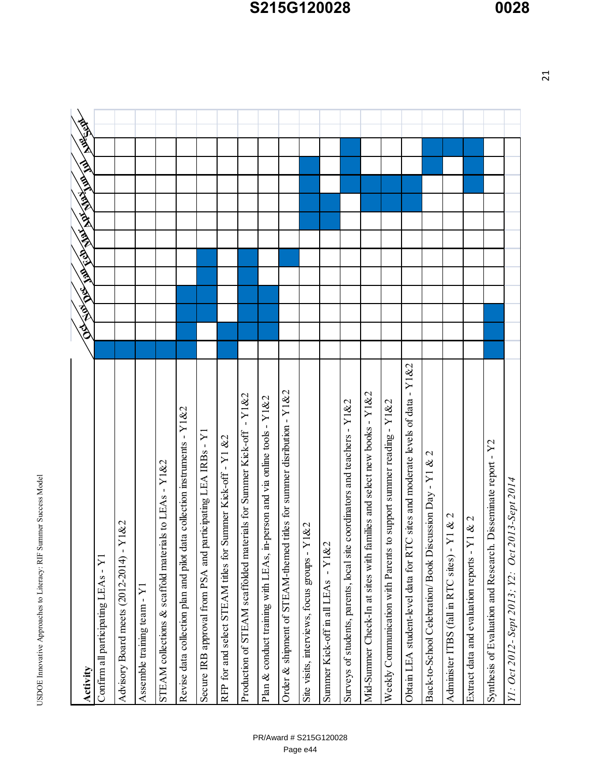USDOE Innovative Approaches to Literacy: RIF Summer Success Model USDOE Innovative Approaches to Literacy: RIF Summer Success Model

| Activity                                                                       | <b>WORK</b><br>AT ANY FOR THE RESIDENCE OF THE POST AND |
|--------------------------------------------------------------------------------|---------------------------------------------------------|
| Confirm all participating LEAs - Y1                                            |                                                         |
| Y1&2<br>×<br>Advisory Board meets (2012-2014)                                  |                                                         |
| Assemble training team - $Y1$                                                  |                                                         |
| STEAM collections & scaffold materials to LEAs - Y1&2                          |                                                         |
| Revise data collection plan and pilot data collection instruments - Y1&2       |                                                         |
| participating LEA IRBs - Y1<br>Secure IRB approval from PSA and                |                                                         |
| Summer Kick-off - Y1 &2<br>RFP for and select STEAM titles for                 |                                                         |
| Production of STEAM scaffolded materials for Summer Kick-off - Y1&2            |                                                         |
| Plan & conduct training with LEAs, in-person and via online tools - Y1&2       |                                                         |
| Order $\&$ shipment of STEAM-themed titles for summer disribution - Y1 $\&$ 2  |                                                         |
| Y1&2<br>Site visits, interviews, focus groups -                                |                                                         |
| $-Y1&2$<br>Summer Kick-off in all LEAs                                         |                                                         |
| Surveys of students, parents, local site coordinators and teachers - Y1&2      |                                                         |
| Mid-Summer Check-In at sites with families and select new books - Y1&2         |                                                         |
| to support summer reading - $Y1&2$<br>Weekly Communication with Parents        |                                                         |
| Obtain LEA student-level data for RTC sites and moderate levels of data - Y1&2 |                                                         |
| Back-to-School Celebration/ Book Discussion Day - Y1 & 2                       |                                                         |
| Administer ITBS (fall in RTC sites) - Y 1 & 2                                  |                                                         |
| Y1 & 2<br>Extract data and evaluation reports -                                |                                                         |
| Synthesis of Evaluation and Research. Disseminate report - Y2                  |                                                         |
| 2013-Sept 2014<br>Oct<br>Y1: Oct 2012- Sept 2013; Y2:                          |                                                         |

# **S215G120028 0028**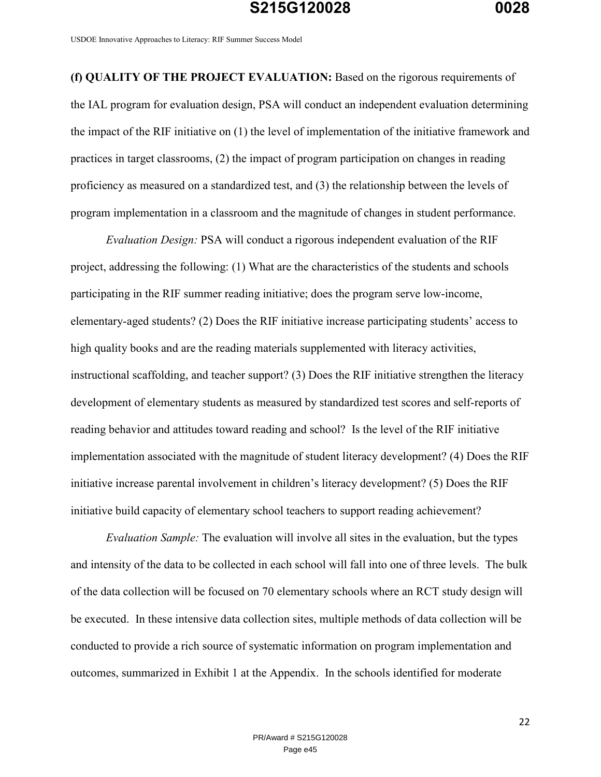USDOE Innovative Approaches to Literacy: RIF Summer Success Model

**(f) QUALITY OF THE PROJECT EVALUATION:** Based on the rigorous requirements of the IAL program for evaluation design, PSA will conduct an independent evaluation determining the impact of the RIF initiative on (1) the level of implementation of the initiative framework and practices in target classrooms, (2) the impact of program participation on changes in reading proficiency as measured on a standardized test, and (3) the relationship between the levels of program implementation in a classroom and the magnitude of changes in student performance.

*Evaluation Design:* PSA will conduct a rigorous independent evaluation of the RIF project, addressing the following: (1) What are the characteristics of the students and schools participating in the RIF summer reading initiative; does the program serve low-income, elementary-aged students? (2) Does the RIF initiative increase participating students' access to high quality books and are the reading materials supplemented with literacy activities, instructional scaffolding, and teacher support? (3) Does the RIF initiative strengthen the literacy development of elementary students as measured by standardized test scores and self-reports of reading behavior and attitudes toward reading and school? Is the level of the RIF initiative implementation associated with the magnitude of student literacy development? (4) Does the RIF initiative increase parental involvement in children's literacy development? (5) Does the RIF initiative build capacity of elementary school teachers to support reading achievement?

*Evaluation Sample:* The evaluation will involve all sites in the evaluation, but the types and intensity of the data to be collected in each school will fall into one of three levels. The bulk of the data collection will be focused on 70 elementary schools where an RCT study design will be executed. In these intensive data collection sites, multiple methods of data collection will be conducted to provide a rich source of systematic information on program implementation and outcomes, summarized in Exhibit 1 at the Appendix. In the schools identified for moderate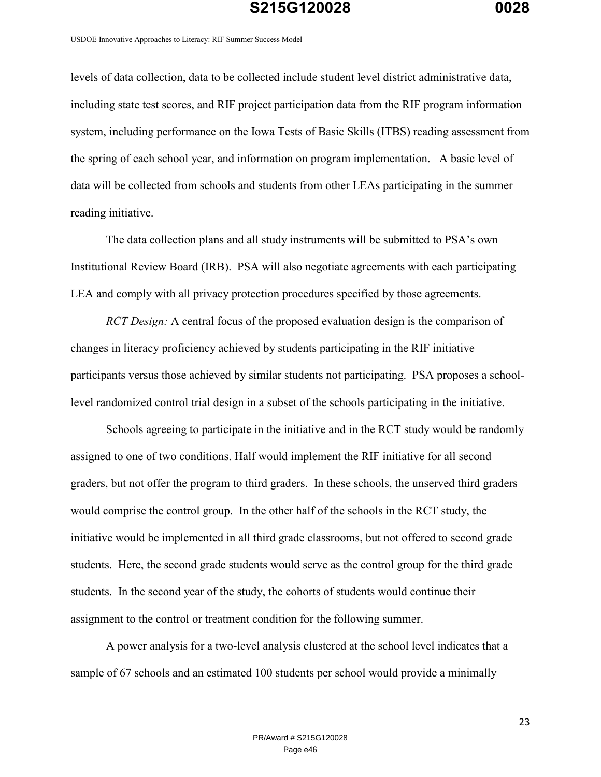USDOE Innovative Approaches to Literacy: RIF Summer Success Model

levels of data collection, data to be collected include student level district administrative data, including state test scores, and RIF project participation data from the RIF program information system, including performance on the Iowa Tests of Basic Skills (ITBS) reading assessment from the spring of each school year, and information on program implementation. A basic level of data will be collected from schools and students from other LEAs participating in the summer reading initiative.

The data collection plans and all study instruments will be submitted to PSA's own Institutional Review Board (IRB). PSA will also negotiate agreements with each participating LEA and comply with all privacy protection procedures specified by those agreements.

*RCT Design:* A central focus of the proposed evaluation design is the comparison of changes in literacy proficiency achieved by students participating in the RIF initiative participants versus those achieved by similar students not participating. PSA proposes a schoollevel randomized control trial design in a subset of the schools participating in the initiative.

Schools agreeing to participate in the initiative and in the RCT study would be randomly assigned to one of two conditions. Half would implement the RIF initiative for all second graders, but not offer the program to third graders. In these schools, the unserved third graders would comprise the control group. In the other half of the schools in the RCT study, the initiative would be implemented in all third grade classrooms, but not offered to second grade students. Here, the second grade students would serve as the control group for the third grade students. In the second year of the study, the cohorts of students would continue their assignment to the control or treatment condition for the following summer.

A power analysis for a two-level analysis clustered at the school level indicates that a sample of 67 schools and an estimated 100 students per school would provide a minimally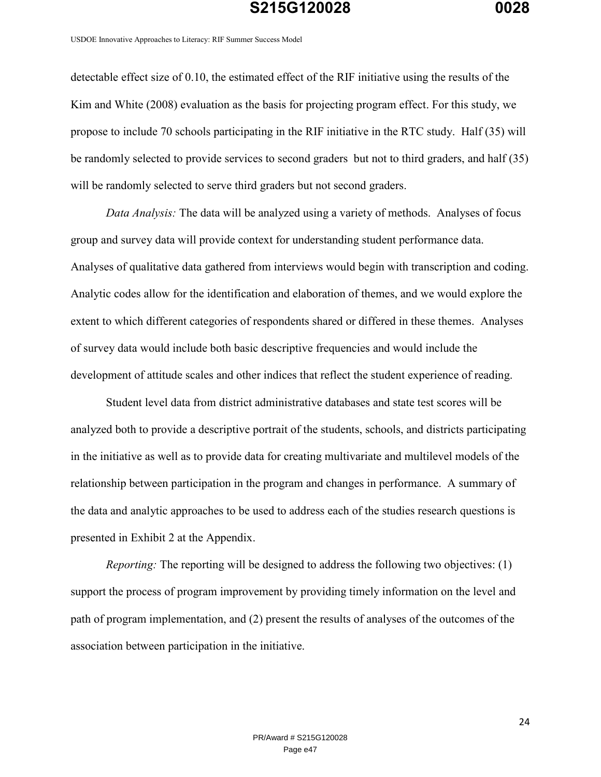USDOE Innovative Approaches to Literacy: RIF Summer Success Model

detectable effect size of 0.10, the estimated effect of the RIF initiative using the results of the Kim and White (2008) evaluation as the basis for projecting program effect. For this study, we propose to include 70 schools participating in the RIF initiative in the RTC study. Half (35) will be randomly selected to provide services to second graders but not to third graders, and half (35) will be randomly selected to serve third graders but not second graders.

*Data Analysis:* The data will be analyzed using a variety of methods. Analyses of focus group and survey data will provide context for understanding student performance data. Analyses of qualitative data gathered from interviews would begin with transcription and coding. Analytic codes allow for the identification and elaboration of themes, and we would explore the extent to which different categories of respondents shared or differed in these themes. Analyses of survey data would include both basic descriptive frequencies and would include the development of attitude scales and other indices that reflect the student experience of reading.

Student level data from district administrative databases and state test scores will be analyzed both to provide a descriptive portrait of the students, schools, and districts participating in the initiative as well as to provide data for creating multivariate and multilevel models of the relationship between participation in the program and changes in performance. A summary of the data and analytic approaches to be used to address each of the studies research questions is presented in Exhibit 2 at the Appendix.

*Reporting:* The reporting will be designed to address the following two objectives: (1) support the process of program improvement by providing timely information on the level and path of program implementation, and (2) present the results of analyses of the outcomes of the association between participation in the initiative.